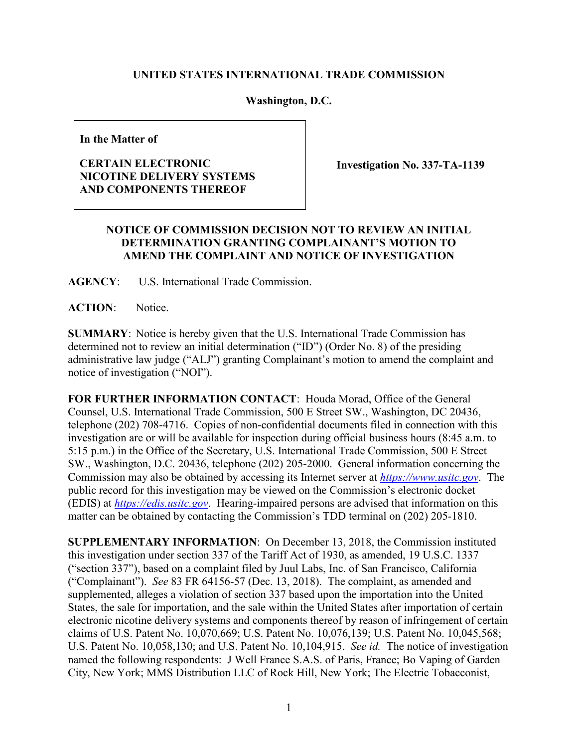## **UNITED STATES INTERNATIONAL TRADE COMMISSION**

## **Washington, D.C.**

**In the Matter of**

## **CERTAIN ELECTRONIC NICOTINE DELIVERY SYSTEMS AND COMPONENTS THEREOF**

**Investigation No. 337-TA-1139**

## **NOTICE OF COMMISSION DECISION NOT TO REVIEW AN INITIAL DETERMINATION GRANTING COMPLAINANT'S MOTION TO AMEND THE COMPLAINT AND NOTICE OF INVESTIGATION**

**AGENCY**: U.S. International Trade Commission.

ACTION: Notice.

**SUMMARY**: Notice is hereby given that the U.S. International Trade Commission has determined not to review an initial determination ("ID") (Order No. 8) of the presiding administrative law judge ("ALJ") granting Complainant's motion to amend the complaint and notice of investigation ("NOI").

**FOR FURTHER INFORMATION CONTACT**: Houda Morad, Office of the General Counsel, U.S. International Trade Commission, 500 E Street SW., Washington, DC 20436, telephone (202) 708-4716. Copies of non-confidential documents filed in connection with this investigation are or will be available for inspection during official business hours (8:45 a.m. to 5:15 p.m.) in the Office of the Secretary, U.S. International Trade Commission, 500 E Street SW., Washington, D.C. 20436, telephone (202) 205-2000. General information concerning the Commission may also be obtained by accessing its Internet server at *[https://www.usitc.gov](https://www.usitc.gov/)*. The public record for this investigation may be viewed on the Commission's electronic docket (EDIS) at *[https://edis.usitc.gov](http://edis.usitc.gov/)*. Hearing-impaired persons are advised that information on this matter can be obtained by contacting the Commission's TDD terminal on (202) 205-1810.

**SUPPLEMENTARY INFORMATION**: On December 13, 2018, the Commission instituted this investigation under section 337 of the Tariff Act of 1930, as amended, 19 U.S.C. 1337 ("section 337"), based on a complaint filed by Juul Labs, Inc. of San Francisco, California ("Complainant"). *See* 83 FR 64156-57 (Dec. 13, 2018). The complaint, as amended and supplemented, alleges a violation of section 337 based upon the importation into the United States, the sale for importation, and the sale within the United States after importation of certain electronic nicotine delivery systems and components thereof by reason of infringement of certain claims of U.S. Patent No. 10,070,669; U.S. Patent No. 10,076,139; U.S. Patent No. 10,045,568; U.S. Patent No. 10,058,130; and U.S. Patent No. 10,104,915. *See id.* The notice of investigation named the following respondents: J Well France S.A.S. of Paris, France; Bo Vaping of Garden City, New York; MMS Distribution LLC of Rock Hill, New York; The Electric Tobacconist,